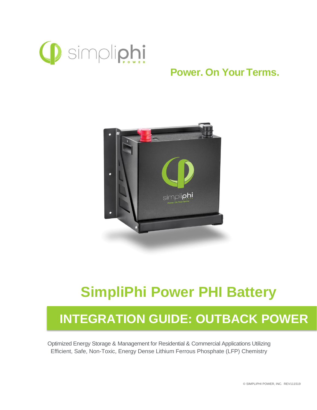

## **Power. On Your Terms.**



## **SimpliPhi Power PHI Battery**

# **INTEGRATION GUIDE: OUTBACK POWER**

Optimized Energy Storage & Management for Residential & Commercial Applications Utilizing Efficient, Safe, Non-Toxic, Energy Dense Lithium Ferrous Phosphate (LFP) Chemistry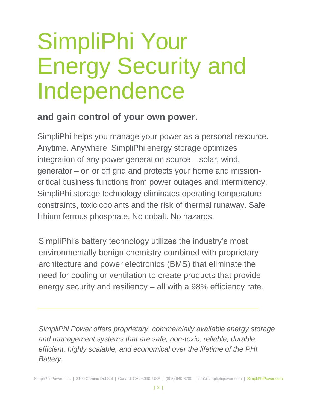# SimpliPhi Your Energy Security and Independence

### **and gain control of your own power.**

SimpliPhi helps you manage your power as a personal resource. Anytime. Anywhere. SimpliPhi energy storage optimizes integration of any power generation source – solar, wind, generator – on or off grid and protects your home and missioncritical business functions from power outages and intermittency. SimpliPhi storage technology eliminates operating temperature constraints, toxic coolants and the risk of thermal runaway. Safe lithium ferrous phosphate. No cobalt. No hazards.

SimpliPhi's battery technology utilizes the industry's most environmentally benign chemistry combined with proprietary architecture and power electronics (BMS) that eliminate the need for cooling or ventilation to create products that provide energy security and resiliency – all with a 98% efficiency rate.

*SimpliPhi Power offers proprietary, commercially available energy storage and management systems that are safe, non-toxic, reliable, durable, efficient, highly scalable, and economical over the lifetime of the PHI Battery.*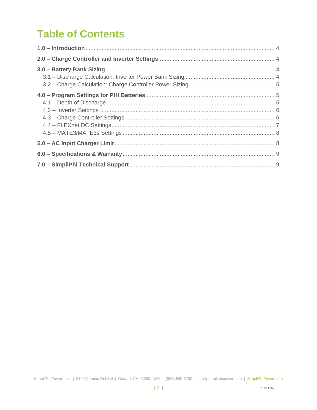## **Table of Contents**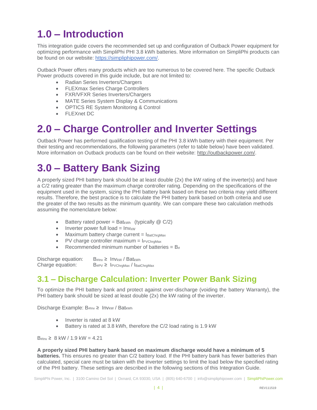## <span id="page-3-0"></span>**1.0 – Introduction**

This integration guide covers the recommended set up and configuration of Outback Power equipment for optimizing performance with SimpliPhi PHI 3.8 kWh batteries. More information on SimpliPhi products can be found on our website: [https://simpliphipower.com/.](https://simpliphipower.com/)

Outback Power offers many products which are too numerous to be covered here. The specific Outback Power products covered in this guide include, but are not limited to:

- Radian Series Inverters/Chargers
- FLEXmax Series Charge Controllers
- FXR/VFXR Series Inverters/Chargers
- MATE Series System Display & Communications
- OPTICS RE System Monitoring & Control
- FLEXnet DC

## <span id="page-3-1"></span>**2.0 – Charge Controller and Inverter Settings**

Outback Power has performed qualification testing of the PHI 3.8 kWh battery with their equipment. Per their testing and recommendations, the following parameters (refer to table below) have been validated. More information on Outback products can be found on their website: [http://outbackpower.com/.](http://outbackpower.com/)

## <span id="page-3-2"></span>**3.0 – Battery Bank Sizing**

A properly sized PHI battery bank should be at least double (2x) the kW rating of the inverter(s) and have a C/2 rating greater than the maximum charge controller rating. Depending on the specifications of the equipment used in the system, sizing the PHI battery bank based on these two criteria may yield different results. Therefore, the best practice is to calculate the PHI battery bank based on both criteria and use the greater of the two results as the minimum quantity. We can compare these two calculation methods assuming the nomenclature below:

- Battery rated power = Bat<sub>kWh</sub> (typically  $@C/2$ )
- Inverter power full  $load = Inv_{KW}$
- Maximum battery charge current  $= I_{\text{BatChrgMax}}$
- PV charge controller maximum  $=$  IPVChrgMax
- Recommended minimum number of batteries =  $B_{#}$

Discharge equation:  $B_{\#Inv} \geq Inv_{KW} / Bat_{KWh}$ Charge equation:  $B_{\text{#PV}} \geq I_{\text{PVChrgMax}}/I_{\text{BatChrgMax}}$ 

#### <span id="page-3-3"></span>**3.1 – Discharge Calculation: Inverter Power Bank Sizing**

To optimize the PHI battery bank and protect against over-discharge (voiding the battery Warranty), the PHI battery bank should be sized at least double (2x) the kW rating of the inverter.

Discharge Example: B#Inv ≥ Invkw / Batkwh

- Inverter is rated at 8 kW
- Battery is rated at 3.8 kWh, therefore the C/2 load rating is 1.9 kW

 $B_{\#}$ Inv  $\geq 8$  kW / 1.9 kW = 4.21

**A properly sized PHI battery bank based on maximum discharge would have a minimum of 5 batteries.** This ensures no greater than C/2 battery load. If the PHI battery bank has fewer batteries than calculated, special care must be taken with the inverter settings to limit the load below the specified rating of the PHI battery. These settings are described in the following sections of this Integration Guide.

SimpliPhi Power, Inc. | 3100 Camino Del Sol | Oxnard, CA 93030, USA | (805) 640-6700 | info@simpliphipower.com | SimpliPhiPower.com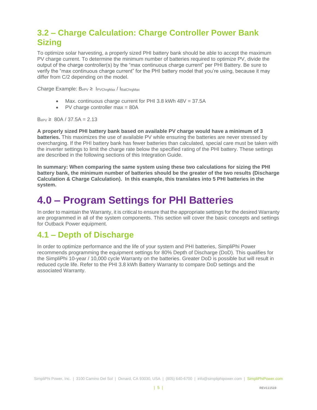#### <span id="page-4-0"></span>**3.2 – Charge Calculation: Charge Controller Power Bank Sizing**

To optimize solar harvesting, a properly sized PHI battery bank should be able to accept the maximum PV charge current. To determine the minimum number of batteries required to optimize PV, divide the output of the charge controller(s) by the "max continuous charge current" per PHI Battery. Be sure to verify the "max continuous charge current" for the PHI battery model that you're using, because it may differ from C/2 depending on the model.

Charge Example:  $B_{\text{HPV}} \geq 1_{\text{PVChraMax}} / 1_{\text{BatChraMax}}$ 

- Max. continuous charge current for PHI 3.8 kWh 48V = 37.5A
- PV charge controller max = 80A

 $B_{\text{HPV}} \geq 80A / 37.5A = 2.13$ 

**A properly sized PHI battery bank based on available PV charge would have a minimum of 3 batteries.** This maximizes the use of available PV while ensuring the batteries are never stressed by overcharging. If the PHI battery bank has fewer batteries than calculated, special care must be taken with the inverter settings to limit the charge rate below the specified rating of the PHI battery. These settings are described in the following sections of this Integration Guide.

**In summary: When comparing the same system using these two calculations for sizing the PHI battery bank, the minimum number of batteries should be the greater of the two results (Discharge Calculation & Charge Calculation). In this example, this translates into 5 PHI batteries in the system.**

## <span id="page-4-1"></span>**4.0 – Program Settings for PHI Batteries**

In order to maintain the Warranty, it is critical to ensure that the appropriate settings for the desired Warranty are programmed in all of the system components. This section will cover the basic concepts and settings for Outback Power equipment.

#### <span id="page-4-2"></span>**4.1 – Depth of Discharge**

In order to optimize performance and the life of your system and PHI batteries, SimpliPhi Power recommends programming the equipment settings for 80% Depth of Discharge (DoD). This qualifies for the SimpliPhi 10-year / 10,000 cycle Warranty on the batteries. Greater DoD is possible but will result in reduced cycle life. Refer to the PHI 3.8 kWh Battery Warranty to compare DoD settings and the associated Warranty.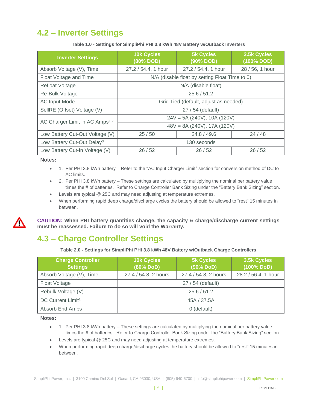#### <span id="page-5-0"></span>**4.2 – Inverter Settings**

| <b>Inverter Settings</b>                   | 10k Cycles<br>(80% DOD)                        | <b>5k Cycles</b><br>(90% DOD) | 3.5k Cycles<br>(100% DOD) |  |
|--------------------------------------------|------------------------------------------------|-------------------------------|---------------------------|--|
| Absorb Voltage (V), Time                   | 27.2 / 54.4, 1 hour                            | 27.2 / 54.4, 1 hour           | 28 / 56, 1 hour           |  |
| Float Voltage and Time                     | N/A (disable float by setting Float Time to 0) |                               |                           |  |
| <b>Refloat Voltage</b>                     |                                                | N/A (disable float)           |                           |  |
| Re-Bulk Voltage                            | 25.6/51.2                                      |                               |                           |  |
| <b>AC Input Mode</b>                       | Grid Tied (default, adjust as needed)          |                               |                           |  |
| SellRE (Offset) Voltage (V)                | 27 / 54 (default)                              |                               |                           |  |
| AC Charger Limit in AC Amps <sup>1,2</sup> | $24V = 5A (240V)$ , 10A (120V)                 |                               |                           |  |
|                                            | $48V = 8A (240V)$ , 17A (120V)                 |                               |                           |  |
| Low Battery Cut-Out Voltage (V)            | 25/50                                          | 24.8 / 49.6                   | 24/48                     |  |
| Low Battery Cut-Out Delay <sup>3</sup>     | 130 seconds                                    |                               |                           |  |
| Low Battery Cut-In Voltage (V)             | 26/52                                          | 26/52                         | 26/52                     |  |

**Table 1.0 - Settings for SimpliPhi PHI 3.8 kWh 48V Battery w/Outback Inverters**

**Notes:**

- 1. Per PHI 3.8 kWh battery Refer to the "AC Input Charger Limit" section for conversion method of DC to AC limits.
- 2. Per PHI 3.8 kWh battery These settings are calculated by multiplying the nominal per battery value times the # of batteries. Refer to Charge Controller Bank Sizing under the "Battery Bank Sizing" section.
- Levels are typical @ 25C and may need adjusting at temperature extremes.
- When performing rapid deep charge/discharge cycles the battery should be allowed to "rest" 15 minutes in between.



**CAUTION: When PHI battery quantities change, the capacity & charge/discharge current settings must be reassessed. Failure to do so will void the Warranty.**

#### <span id="page-5-1"></span>**4.3 – Charge Controller Settings**

**Table 2.0 - Settings for SimpliPhi PHI 3.8 kWh 48V Battery w/Outback Charge Controllers**

| <b>Charge Controller</b><br><b>Settings</b> | <b>10k Cycles</b><br>(80% DoD) | <b>5k Cycles</b><br>(90% DoD) | 3.5k Cycles<br>(100% DoD) |
|---------------------------------------------|--------------------------------|-------------------------------|---------------------------|
| Absorb Voltage (V), Time                    | 27.4 / 54.8, 2 hours           | 27.4 / 54.8, 2 hours          | 28.2 / 56.4, 1 hour       |
| Float Voltage                               |                                | 27 / 54 (default)             |                           |
| Rebulk Voltage (V)                          | 25.6 / 51.2                    |                               |                           |
| DC Current Limit <sup>1</sup>               | 45A / 37.5A                    |                               |                           |
| Absorb End Amps                             | 0 (default)                    |                               |                           |

**Notes:**

- 1. Per PHI 3.8 kWh battery These settings are calculated by multiplying the nominal per battery value times the # of batteries. Refer to Charge Controller Bank Sizing under the "Battery Bank Sizing" section.
- Levels are typical @ 25C and may need adjusting at temperature extremes.
- When performing rapid deep charge/discharge cycles the battery should be allowed to "rest" 15 minutes in between.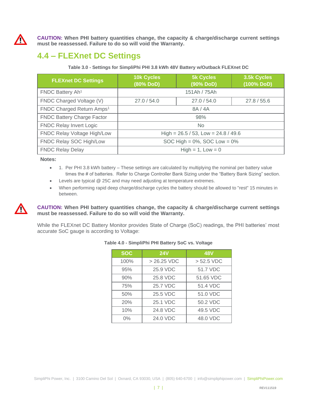

**CAUTION: When PHI battery quantities change, the capacity & charge/discharge current settings must be reassessed. Failure to do so will void the Warranty.**

#### <span id="page-6-0"></span>**4.4 – FLEXnet DC Settings**

**Table 3.0 - Settings for SimpliPhi PHI 3.8 kWh 48V Battery w/Outback FLEXnet DC**

| <b>FLEXnet DC Settings</b>            | <b>10k Cycles</b><br>(80% DoD)           | <b>5k Cycles</b><br>(90% DoD) | 3.5k Cycles<br>(100% DoD) |
|---------------------------------------|------------------------------------------|-------------------------------|---------------------------|
| FNDC Battery Ah <sup>1</sup>          |                                          | 151Ah / 75Ah                  |                           |
| FNDC Charged Voltage (V)              | 27.0 / 54.0                              | 27.0 / 54.0                   | 27.8 / 55.6               |
| FNDC Charged Return Amps <sup>1</sup> | 8A / 4A                                  |                               |                           |
| <b>FNDC Battery Charge Factor</b>     | 98%                                      |                               |                           |
| <b>FNDC Relay Invert Logic</b>        | No.                                      |                               |                           |
| FNDC Relay Voltage High/Low           | High = $26.5 / 53$ , Low = $24.8 / 49.6$ |                               |                           |
| FNDC Relay SOC High/Low               | SOC High = $0\%$ , SOC Low = $0\%$       |                               |                           |
| <b>FNDC Relay Delay</b>               | $High = 1, Low = 0$                      |                               |                           |

**Notes:**

- 1. Per PHI 3.8 kWh battery These settings are calculated by multiplying the nominal per battery value times the # of batteries. Refer to Charge Controller Bank Sizing under the "Battery Bank Sizing" section.
- Levels are typical @ 25C and may need adjusting at temperature extremes.
- When performing rapid deep charge/discharge cycles the battery should be allowed to "rest" 15 minutes in between.

**CAUTION: When PHI battery quantities change, the capacity & charge/discharge current settings must be reassessed. Failure to do so will void the Warranty.**

<span id="page-6-1"></span>While the FLEXnet DC Battery Monitor provides State of Charge (SoC) readings, the PHI batteries' most accurate SoC gauge is according to Voltage:

| <b>SOC</b> | <b>24V</b>   | <b>48V</b>   |
|------------|--------------|--------------|
| 100%       | $>26.25$ VDC | $> 52.5$ VDC |
| 95%        | 25.9 VDC     | 51.7 VDC     |
| 90%        | 25.8 VDC     | 51.65 VDC    |
| 75%        | 25.7 VDC     | 51.4 VDC     |
| 50%        | 25.5 VDC     | 51.0 VDC     |
| 20%        | 25.1 VDC     | 50.2 VDC     |
| 10%        | 24.8 VDC     | 49.5 VDC     |
| $0\%$      | 24.0 VDC     | 48.0 VDC     |

#### **Table 4.0 - SimpliPhi PHI Battery SoC vs. Voltage**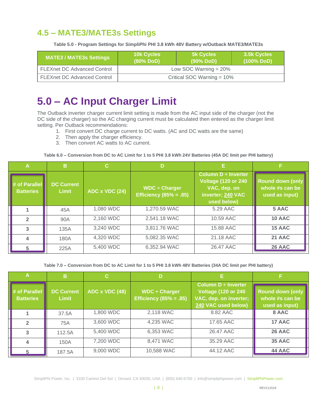#### **4.5 – MATE3/MATE3s Settings**

**Table 5.0 - Program Settings for SimpliPhi PHI 3.8 kWh 48V Battery w/Outback MATE3/MATE3s**

| <b>MATE3 / MATE3s Settings</b>     | <b>10k Cycles</b><br>(80% DoD) | <b>5k Cycles</b><br>$(90\%$ DoD) | 3.5k Cycles<br>$(100\%$ DoD) |
|------------------------------------|--------------------------------|----------------------------------|------------------------------|
| <b>FLEXnet DC Advanced Control</b> | Low SOC Warning $= 20\%$       |                                  |                              |
| <b>FLEXnet DC Advanced Control</b> | Critical SOC Warning $= 10\%$  |                                  |                              |

## <span id="page-7-0"></span>**5.0 – AC Input Charger Limit**

The Outback inverter charger current limit setting is made from the AC input side of the charger (not the DC side of the charger) so the AC charging current must be calculated then entered as the charger limit setting. Per Outback recommendations:

- 1. First convert DC charge current to DC watts. (AC and DC watts are the same)
- 2. Then apply the charger efficiency.
- 3. Then convert AC watts to AC current.

#### **Table 6.0 – Conversion from DC to AC Limit for 1 to 5 PHI 3.8 kWh 24V Batteries (45A DC limit per PHI battery)**

| Α                                 | в                                 | C.             | D                                                   |                                                                                                            |                                                              |
|-----------------------------------|-----------------------------------|----------------|-----------------------------------------------------|------------------------------------------------------------------------------------------------------------|--------------------------------------------------------------|
| # of Parallel<br><b>Batteries</b> | <b>DC Current</b><br><b>Limit</b> | ADC x VDC (24) | $WDC \div Charger$<br><b>Efficiency (85% = .85)</b> | Column $D \div$ Inverter<br><b>Voltage (120 or 240</b><br>VAC, dep. on<br>inverter; 240 VAC<br>used below) | <b>Round down (only</b><br>whole #s can be<br>used as input) |
|                                   | 45A                               | 1,080 WDC      | 1,270.59 WAC                                        | 5.29 AAC                                                                                                   | 5 AAC                                                        |
| $\mathbf{2}$                      | 90A                               | 2,160 WDC      | 2,541.18 WAC                                        | 10.59 AAC                                                                                                  | 10 AAC                                                       |
| 3                                 | 135A                              | 3,240 WDC      | 3,811.76 WAC                                        | 15.88 AAC                                                                                                  | 15 AAC                                                       |
| 4                                 | 180A                              | 4,320 WDC      | 5,082.35 WAC                                        | 21.18 AAC                                                                                                  | 21 AAC                                                       |
| 5                                 | 225A                              | 5,400 WDC      | 6,352.94 WAC                                        | 26.47 AAC                                                                                                  | 26 AAC                                                       |

**Table 7.0 – Conversion from DC to AC Limit for 1 to 5 PHI 3.8 kWh 48V Batteries (34A DC limit per PHI battery)**

|                                   | в                                 | C.             | D                                                   | Е                                                                                                   |                                                              |
|-----------------------------------|-----------------------------------|----------------|-----------------------------------------------------|-----------------------------------------------------------------------------------------------------|--------------------------------------------------------------|
| # of Parallel<br><b>Batteries</b> | <b>DC Current</b><br><b>Limit</b> | ADC x VDC (48) | $WDC \div$ Charger<br><b>Efficiency (85% = .85)</b> | Column D ÷ Inverter<br><b>Voltage (120 or 240)</b><br>VAC, dep. on inverter;<br>240 VAC used below) | <b>Round down (only</b><br>whole #s can be<br>used as input) |
|                                   | 37.5A                             | 1,800 WDC      | 2,118 WAC                                           | 8.82 AAC                                                                                            | 8 AAC                                                        |
| $\mathbf{2}$                      | 75A                               | 3,600 WDC      | 4,235 WAC                                           | 17.65 AAC                                                                                           | 17 AAC                                                       |
| 3                                 | 112.5A                            | 5,400 WDC      | 6,353 WAC                                           | 26.47 AAC                                                                                           | 26 AAC                                                       |
| 4                                 | 150A                              | 7,200 WDC      | 8,471 WAC                                           | 35.29 AAC                                                                                           | <b>35 AAC</b>                                                |
| 5                                 | 187.5A                            | 9,000 WDC      | 10,588 WAC                                          | 44.12 AAC                                                                                           | 44 AAC                                                       |